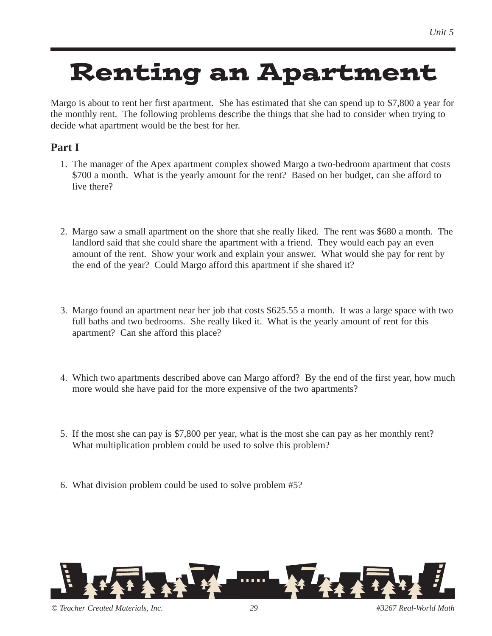# Renting an Apartment

Margo is about to rent her first apartment. She has estimated that she can spend up to \$7,800 a year for the monthly rent. The following problems describe the things that she had to consider when trying to decide what apartment would be the best for her.

### **Part I**

- 1. The manager of the Apex apartment complex showed Margo a two-bedroom apartment that costs \$700 a month. What is the yearly amount for the rent? Based on her budget, can she afford to live there?
- 2. Margo saw a small apartment on the shore that she really liked. The rent was \$680 a month. The landlord said that she could share the apartment with a friend. They would each pay an even amount of the rent. Show your work and explain your answer. What would she pay for rent by the end of the year? Could Margo afford this apartment if she shared it?
- 3. Margo found an apartment near her job that costs \$625.55 a month. It was a large space with two full baths and two bedrooms. She really liked it. What is the yearly amount of rent for this apartment? Can she afford this place?
- 4. Which two apartments described above can Margo afford? By the end of the first year, how much more would she have paid for the more expensive of the two apartments?
- 5. If the most she can pay is \$7,800 per year, what is the most she can pay as her monthly rent? What multiplication problem could be used to solve this problem?
- 6. What division problem could be used to solve problem #5?



*© Teacher Created Materials, Inc. 29 #3267 Real-World Math*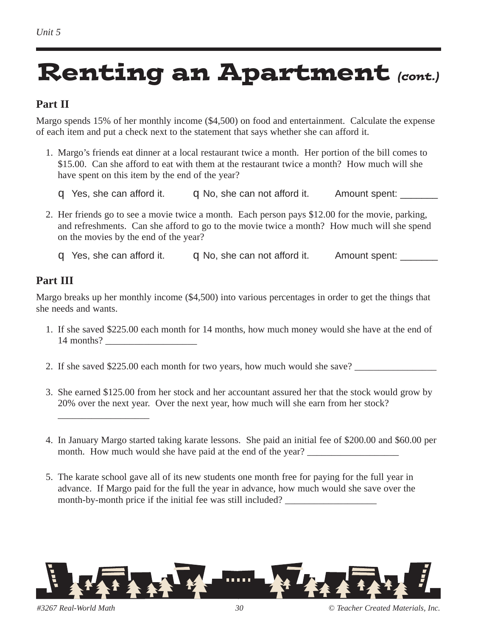## Renting an Apartment *(cont.)*

#### **Part II**

Margo spends 15% of her monthly income (\$4,500) on food and entertainment. Calculate the expense of each item and put a check next to the statement that says whether she can afford it.

- 1. Margo's friends eat dinner at a local restaurant twice a month. Her portion of the bill comes to \$15.00. Can she afford to eat with them at the restaurant twice a month? How much will she have spent on this item by the end of the year?
	- q Yes, she can afford it.  $q$  No, she can not afford it. Amount spent:  $\frac{q}{q}$
- 2. Her friends go to see a movie twice a month. Each person pays \$12.00 for the movie, parking, and refreshments. Can she afford to go to the movie twice a month? How much will she spend on the movies by the end of the year?

 $q$  Yes, she can afford it.  $q$  No, she can not afford it. Amount spent:  $\frac{q}{q}$ 

#### **Part III**

Margo breaks up her monthly income (\$4,500) into various percentages in order to get the things that she needs and wants.

- 1. If she saved \$225.00 each month for 14 months, how much money would she have at the end of 14 months?
- 2. If she saved \$225.00 each month for two years, how much would she save?
- 3. She earned \$125.00 from her stock and her accountant assured her that the stock would grow by 20% over the next year. Over the next year, how much will she earn from her stock?
- 4. In January Margo started taking karate lessons. She paid an initial fee of \$200.00 and \$60.00 per month. How much would she have paid at the end of the year?
- 5. The karate school gave all of its new students one month free for paying for the full year in advance. If Margo paid for the full the year in advance, how much would she save over the month-by-month price if the initial fee was still included?



\_\_\_\_\_\_\_\_\_\_\_\_\_\_\_\_\_\_\_